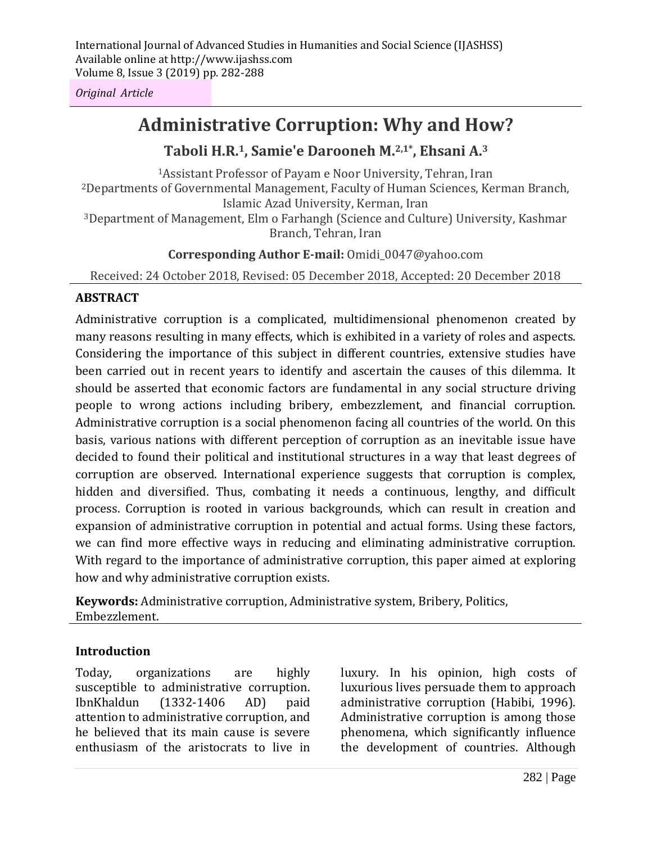*Original Article*

# **Administrative Corruption: Why and How?**

# **Taboli H.R. <sup>1</sup>, Samie'e Darooneh M. 2,1\* , Ehsani A. 3**

<sup>1</sup>Assistant Professor of Payam e Noor University, Tehran, Iran <sup>2</sup>Departments of Governmental Management, Faculty of Human Sciences, Kerman Branch, Islamic Azad University, Kerman, Iran <sup>3</sup>Department of Management, Elm o Farhangh (Science and Culture) University, Kashmar Branch, Tehran, Iran

### **Corresponding Author E-mail:** Omidi\_0047@yahoo.com

Received: 24 October 2018, Revised: 05 December 2018, Accepted: 20 December 2018

### **ABSTRACT**

Administrative corruption is a complicated, multidimensional phenomenon created by many reasons resulting in many effects, which is exhibited in a variety of roles and aspects. Considering the importance of this subject in different countries, extensive studies have been carried out in recent years to identify and ascertain the causes of this dilemma. It should be asserted that economic factors are fundamental in any social structure driving people to wrong actions including bribery, embezzlement, and financial corruption. Administrative corruption is a social phenomenon facing all countries of the world. On this basis, various nations with different perception of corruption as an inevitable issue have decided to found their political and institutional structures in a way that least degrees of corruption are observed. International experience suggests that corruption is complex, hidden and diversified. Thus, combating it needs a continuous, lengthy, and difficult process. Corruption is rooted in various backgrounds, which can result in creation and expansion of administrative corruption in potential and actual forms. Using these factors, we can find more effective ways in reducing and eliminating administrative corruption. With regard to the importance of administrative corruption, this paper aimed at exploring how and why administrative corruption exists.

**Keywords:** Administrative corruption, Administrative system, Bribery, Politics, Embezzlement.

### **Introduction**

Today, organizations are highly susceptible to administrative corruption. IbnKhaldun (1332-1406 AD) paid attention to administrative corruption, and he believed that its main cause is severe enthusiasm of the aristocrats to live in

luxury. In his opinion, high costs of luxurious lives persuade them to approach administrative corruption (Habibi, 1996). Administrative corruption is among those phenomena, which significantly influence the development of countries. Although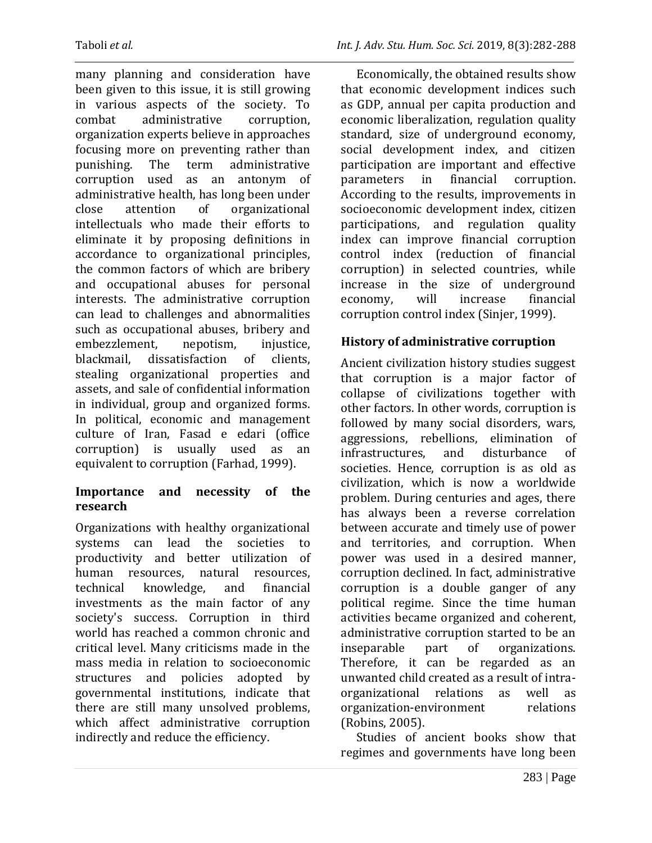many planning and consideration have been given to this issue, it is still growing in various aspects of the society. To combat administrative corruption, organization experts believe in approaches focusing more on preventing rather than punishing. The term administrative corruption used as an antonym of administrative health, has long been under close attention of organizational intellectuals who made their efforts to eliminate it by proposing definitions in accordance to organizational principles, the common factors of which are bribery and occupational abuses for personal interests. The administrative corruption can lead to challenges and abnormalities such as occupational abuses, bribery and embezzlement, nepotism, injustice, blackmail, dissatisfaction of clients, stealing organizational properties and assets, and sale of confidential information in individual, group and organized forms. In political, economic and management culture of Iran, Fasad e edari (office corruption) is usually used as an equivalent to corruption (Farhad, 1999).

### **Importance and necessity of the research**

Organizations with healthy organizational systems can lead the societies to productivity and better utilization of human resources, natural resources, technical knowledge, and financial investments as the main factor of any society's success. Corruption in third world has reached a common chronic and critical level. Many criticisms made in the mass media in relation to socioeconomic structures and policies adopted by governmental institutions, indicate that there are still many unsolved problems, which affect administrative corruption indirectly and reduce the efficiency.

Economically, the obtained results show that economic development indices such as GDP, annual per capita production and economic liberalization, regulation quality standard, size of underground economy, social development index, and citizen participation are important and effective parameters in financial corruption. According to the results, improvements in socioeconomic development index, citizen participations, and regulation quality index can improve financial corruption control index (reduction of financial corruption) in selected countries, while increase in the size of underground economy, will increase financial corruption control index (Sinjer, 1999).

# **History of administrative corruption**

Ancient civilization history studies suggest that corruption is a major factor of collapse of civilizations together with other factors. In other words, corruption is followed by many social disorders, wars, aggressions, rebellions, elimination of infrastructures, and disturbance of societies. Hence, corruption is as old as civilization, which is now a worldwide problem. During centuries and ages, there has always been a reverse correlation between accurate and timely use of power and territories, and corruption. When power was used in a desired manner, corruption declined. In fact, administrative corruption is a double ganger of any political regime. Since the time human activities became organized and coherent, administrative corruption started to be an inseparable part of organizations. Therefore, it can be regarded as an unwanted child created as a result of intraorganizational relations as well as organization-environment relations (Robins, 2005).

Studies of ancient books show that regimes and governments have long been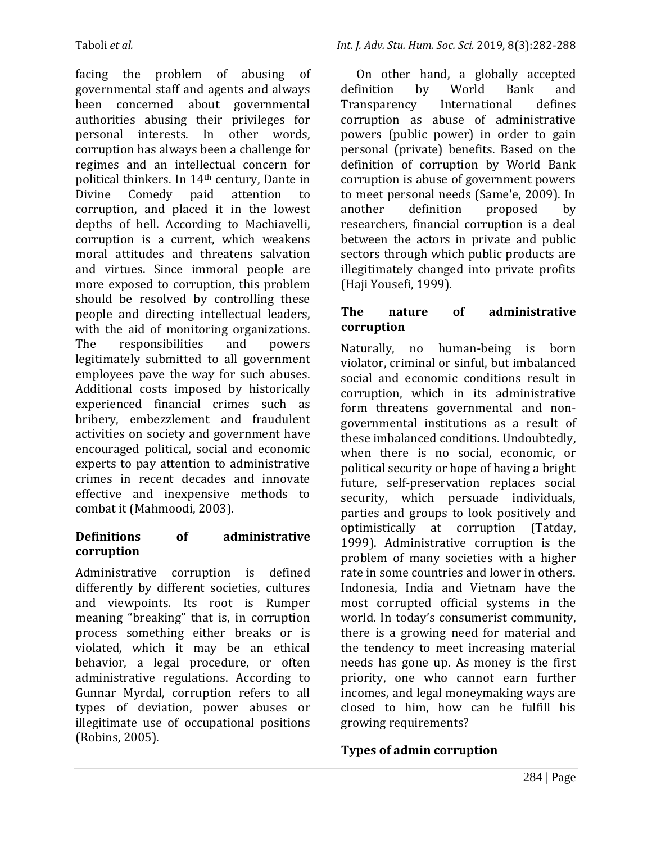facing the problem of abusing of governmental staff and agents and always been concerned about governmental authorities abusing their privileges for personal interests. In other words, corruption has always been a challenge for regimes and an intellectual concern for political thinkers. In 14th century, Dante in Divine Comedy paid attention to corruption, and placed it in the lowest depths of hell. According to Machiavelli, corruption is a current, which weakens moral attitudes and threatens salvation and virtues. Since immoral people are more exposed to corruption, this problem should be resolved by controlling these people and directing intellectual leaders, with the aid of monitoring organizations. The responsibilities and powers legitimately submitted to all government employees pave the way for such abuses. Additional costs imposed by historically experienced financial crimes such as bribery, embezzlement and fraudulent activities on society and government have encouraged political, social and economic experts to pay attention to administrative crimes in recent decades and innovate effective and inexpensive methods to combat it (Mahmoodi, 2003).

### **Definitions of administrative corruption**

Administrative corruption is defined differently by different societies, cultures and viewpoints. Its root is Rumper meaning "breaking" that is, in corruption process something either breaks or is violated, which it may be an ethical behavior, a legal procedure, or often administrative regulations. According to Gunnar Myrdal, corruption refers to all types of deviation, power abuses or illegitimate use of occupational positions (Robins, 2005).

On other hand, a globally accepted definition by World Bank and Transparency International defines corruption as abuse of administrative powers (public power) in order to gain personal (private) benefits. Based on the definition of corruption by World Bank corruption is abuse of government powers to meet personal needs (Same'e, 2009). In another definition proposed by researchers, financial corruption is a deal between the actors in private and public sectors through which public products are illegitimately changed into private profits (Haji Yousefi, 1999).

### **The nature of administrative corruption**

Naturally, no human-being is born violator, criminal or sinful, but imbalanced social and economic conditions result in corruption, which in its administrative form threatens governmental and nongovernmental institutions as a result of these imbalanced conditions. Undoubtedly, when there is no social, economic, or political security or hope of having a bright future, self-preservation replaces social security, which persuade individuals, parties and groups to look positively and optimistically at corruption (Tatday, 1999). Administrative corruption is the problem of many societies with a higher rate in some countries and lower in others. Indonesia, India and Vietnam have the most corrupted official systems in the world. In today's consumerist community, there is a growing need for material and the tendency to meet increasing material needs has gone up. As money is the first priority, one who cannot earn further incomes, and legal moneymaking ways are closed to him, how can he fulfill his growing requirements?

# **Types of admin corruption**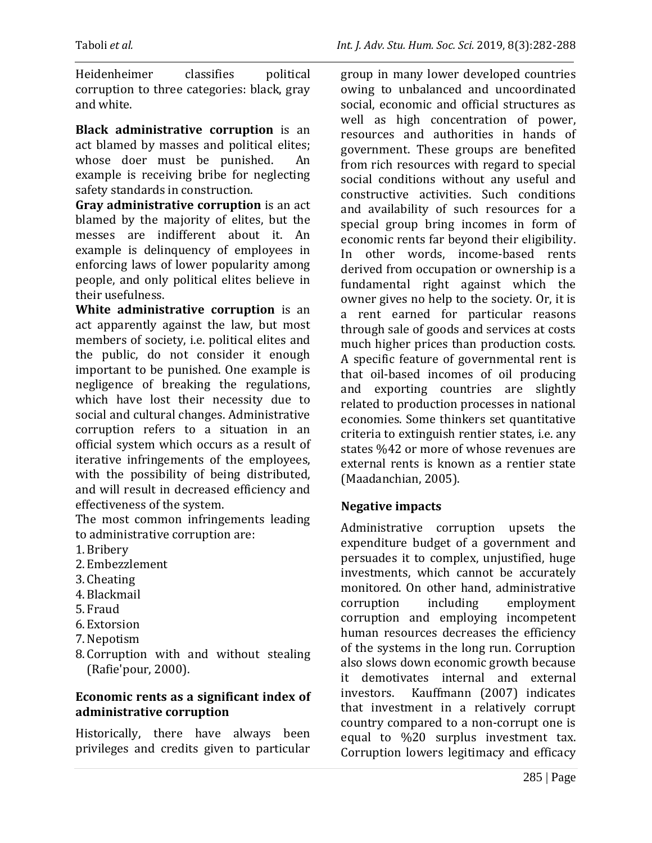Heidenheimer classifies political corruption to three categories: black, gray and white.

**Black administrative corruption** is an act blamed by masses and political elites; whose doer must be punished. An example is receiving bribe for neglecting safety standards in construction.

**Gray administrative corruption** is an act blamed by the majority of elites, but the messes are indifferent about it. An example is delinquency of employees in enforcing laws of lower popularity among people, and only political elites believe in their usefulness.

**White administrative corruption** is an act apparently against the law, but most members of society, i.e. political elites and the public, do not consider it enough important to be punished. One example is negligence of breaking the regulations, which have lost their necessity due to social and cultural changes. Administrative corruption refers to a situation in an official system which occurs as a result of iterative infringements of the employees, with the possibility of being distributed, and will result in decreased efficiency and effectiveness of the system.

The most common infringements leading to administrative corruption are:

- 1.Bribery
- 2. Embezzlement
- 3. Cheating
- 4.Blackmail
- 5. Fraud
- 6. Extorsion
- 7.Nepotism
- 8. Corruption with and without stealing (Rafie'pour, 2000).

### **Economic rents as a significant index of administrative corruption**

Historically, there have always been privileges and credits given to particular

group in many lower developed countries owing to unbalanced and uncoordinated social, economic and official structures as well as high concentration of power, resources and authorities in hands of government. These groups are benefited from rich resources with regard to special social conditions without any useful and constructive activities. Such conditions and availability of such resources for a special group bring incomes in form of economic rents far beyond their eligibility. In other words, income-based rents derived from occupation or ownership is a fundamental right against which the owner gives no help to the society. Or, it is a rent earned for particular reasons through sale of goods and services at costs much higher prices than production costs. A specific feature of governmental rent is that oil-based incomes of oil producing and exporting countries are slightly related to production processes in national economies. Some thinkers set quantitative criteria to extinguish rentier states, i.e. any states %42 or more of whose revenues are external rents is known as a rentier state (Maadanchian, 2005).

### **Negative impacts**

Administrative corruption upsets the expenditure budget of a government and persuades it to complex, unjustified, huge investments, which cannot be accurately monitored. On other hand, administrative corruption including employment corruption and employing incompetent human resources decreases the efficiency of the systems in the long run. Corruption also slows down economic growth because it demotivates internal and external investors. Kauffmann (2007) indicates that investment in a relatively corrupt country compared to a non-corrupt one is equal to %20 surplus investment tax. Corruption lowers legitimacy and efficacy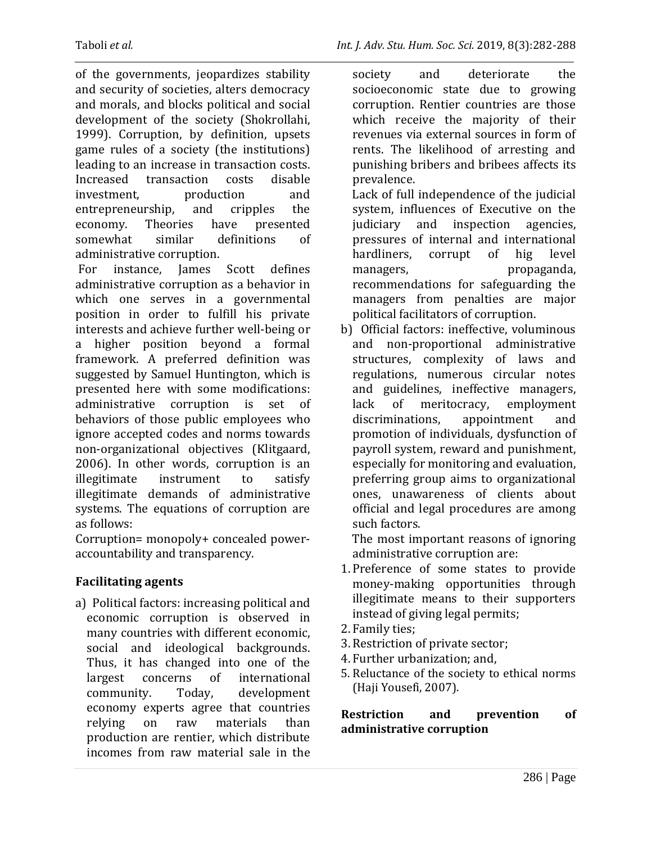of the governments, jeopardizes stability and security of societies, alters democracy and morals, and blocks political and social development of the society (Shokrollahi, 1999). Corruption, by definition, upsets game rules of a society (the institutions) leading to an increase in transaction costs. Increased transaction costs disable investment, production and entrepreneurship, and cripples the economy. Theories have presented somewhat similar definitions of administrative corruption.

For instance, James Scott defines administrative corruption as a behavior in which one serves in a governmental position in order to fulfill his private interests and achieve further well-being or a higher position beyond a formal framework. A preferred definition was suggested by Samuel Huntington, which is presented here with some modifications: administrative corruption is set of behaviors of those public employees who ignore accepted codes and norms towards non-organizational objectives (Klitgaard, 2006). In other words, corruption is an illegitimate instrument to satisfy illegitimate demands of administrative systems. The equations of corruption are as follows:

Corruption= monopoly+ concealed poweraccountability and transparency.

### **Facilitating agents**

a) Political factors: increasing political and economic corruption is observed in many countries with different economic, social and ideological backgrounds. Thus, it has changed into one of the largest concerns of international community. Today, development economy experts agree that countries relying on raw materials than production are rentier, which distribute incomes from raw material sale in the

society and deteriorate the socioeconomic state due to growing corruption. Rentier countries are those which receive the majority of their revenues via external sources in form of rents. The likelihood of arresting and punishing bribers and bribees affects its prevalence.

 Lack of full independence of the judicial system, influences of Executive on the judiciary and inspection agencies, pressures of internal and international hardliners, corrupt of hig level managers, propaganda, recommendations for safeguarding the managers from penalties are major political facilitators of corruption.

b) Official factors: ineffective, voluminous and non-proportional administrative structures, complexity of laws and regulations, numerous circular notes and guidelines, ineffective managers, lack of meritocracy, employment discriminations, appointment and promotion of individuals, dysfunction of payroll system, reward and punishment, especially for monitoring and evaluation, preferring group aims to organizational ones, unawareness of clients about official and legal procedures are among such factors.

 The most important reasons of ignoring administrative corruption are:

- 1. Preference of some states to provide money-making opportunities through illegitimate means to their supporters instead of giving legal permits;
- 2. Family ties;
- 3.Restriction of private sector;
- 4. Further urbanization; and,
- 5. Reluctance of the society to ethical norms (Haji Yousefi, 2007).

**Restriction and prevention of administrative corruption**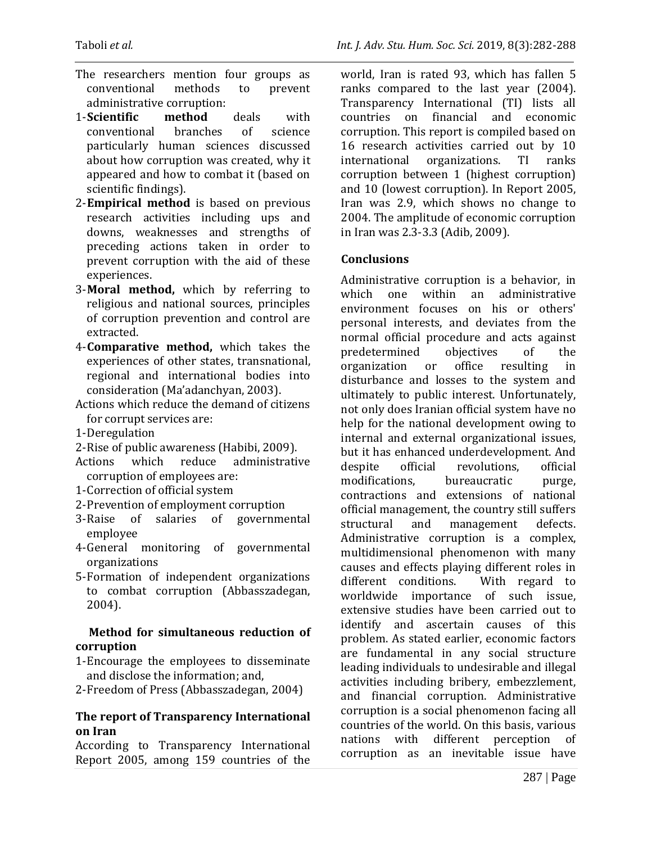- The researchers mention four groups as conventional methods to prevent administrative corruption:
- 1-**Scientific method** deals with conventional branches of science particularly human sciences discussed about how corruption was created, why it appeared and how to combat it (based on scientific findings).
- 2-**Empirical method** is based on previous research activities including ups and downs, weaknesses and strengths of preceding actions taken in order to prevent corruption with the aid of these experiences.
- 3-**Moral method,** which by referring to religious and national sources, principles of corruption prevention and control are extracted.
- 4-**Comparative method,** which takes the experiences of other states, transnational, regional and international bodies into consideration (Ma'adanchyan, 2003).
- Actions which reduce the demand of citizens for corrupt services are:
- 1-Deregulation
- 2-Rise of public awareness (Habibi, 2009).
- Actions which reduce administrative corruption of employees are:
- 1-Correction of official system
- 2-Prevention of employment corruption
- 3-Raise of salaries of governmental employee
- 4-General monitoring of governmental organizations
- 5-Formation of independent organizations to combat corruption (Abbasszadegan, 2004).

#### **Method for simultaneous reduction of corruption**

- 1-Encourage the employees to disseminate and disclose the information; and,
- 2-Freedom of Press (Abbasszadegan, 2004)

#### **The report of Transparency International on Iran**

According to Transparency International Report 2005, among 159 countries of the

world, Iran is rated 93, which has fallen 5 ranks compared to the last year (2004). Transparency International (TI) lists all countries on financial and economic corruption. This report is compiled based on 16 research activities carried out by 10 international organizations. TI ranks corruption between 1 (highest corruption) and 10 (lowest corruption). In Report 2005, Iran was 2.9, which shows no change to 2004. The amplitude of economic corruption in Iran was 2.3-3.3 (Adib, 2009).

### **Conclusions**

Administrative corruption is a behavior, in which one within an administrative environment focuses on his or others' personal interests, and deviates from the normal official procedure and acts against predetermined objectives of the organization or office resulting in disturbance and losses to the system and ultimately to public interest. Unfortunately, not only does Iranian official system have no help for the national development owing to internal and external organizational issues, but it has enhanced underdevelopment. And despite official revolutions, official modifications, bureaucratic purge, contractions and extensions of national official management, the country still suffers structural and management defects. Administrative corruption is a complex, multidimensional phenomenon with many causes and effects playing different roles in different conditions. With regard to worldwide importance of such issue, extensive studies have been carried out to identify and ascertain causes of this problem. As stated earlier, economic factors are fundamental in any social structure leading individuals to undesirable and illegal activities including bribery, embezzlement, and financial corruption. Administrative corruption is a social phenomenon facing all countries of the world. On this basis, various nations with different perception of corruption as an inevitable issue have